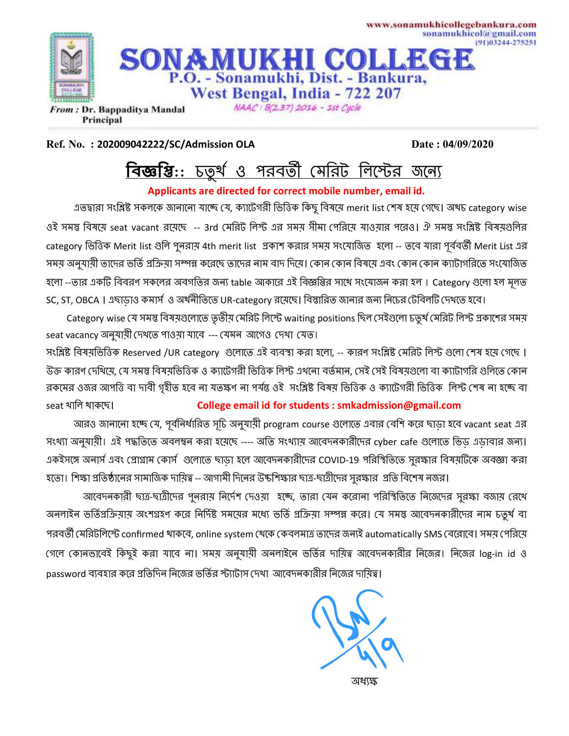

**Ref. No. : 202009042222/SC/Admission OLA** Date : 04/09/2020

## <u>বিজ্ঞপ্তি:: চতুর্থ ও পরবর্তী মেরিট লিস্টের জন্যে</u>

**Applicants are directed for correct mobile number, email id.**

এতদ্বারা সংশ্লিষ্ট সকলকে জানানো যাচ্ছে যে, ক্যাটেগরী ভিত্তিক কিছু বিষয়ে merit list শেষ হয়ে গেছে। অখচ category wise ওই সমস্ত বিষয়ে seat vacant রয়েছে -- 3rd মেরিট লিস্ট এর সময় সীমা পেরিয়ে যাওয়ার পরেও। ঐ সমস্ত সংশ্লিষ্ট বিষয়গুলির category ভিত্তিক Merit list গুলি পুনরায় 4th merit list প্রকাশ করার সময় সংযোজিত হলো -- তবে যারা পূর্ববর্তী Merit List এর সময় অনুযায়ী তাদের ভর্তি প্রক্রিয়া সম্পন্ন করেছে তাদের নাম বাদ দিয়ে। কোন কোন বিষয়ে এবং কোন কোন ক্যাটাগরিতে সংযোজিত হলো --তার একটি বিবরণ সকলের অবগতির জন্য table আকারে এই বিজ্ঞপ্তির সাথে সংযোজন করা হল । Category গুলো হল মূলত SC, ST, OBCA । এছাড়াও কমার্স ও অর্থনীতিতে UR-category রয়েছে। বিস্তারিত জানার জন্য নিচের টেবিলটি দেখতে হবে।

Category wise যে সমস্ত বিষয়গুলোতে তৃতীয় মেরিট লিস্টে waiting positions ছিল সেইগুলো চতুর্খ মেরিট লিস্ট প্রকাশের সময় seat vacancy অনুযায়ী দেখতে পাওয়া যাবে --- যেমন আগেও দেখা যেত।

সংশ্লিষ্ট বিষয়ভিত্তিক Reserved /UR category গুলোতে এই ব্যবস্থা করা হলো, -- কারণ সংশ্লিষ্ট মেরিট লিস্ট গুলো শেষ হয়ে গেছে । উক্ত কারণ দেখিয়ে, যে সমস্ত বিষয়ভিত্তিক ও ক্যাটেগরী ভিত্তিক লিস্ট এখনো বর্তমান, সেই সেই বিষয়গুলো বা ক্যাটাগরি গুলিতে কোন রকমের ওজর আপত্তি বা দাবী গৃহীত হবে না যতস্কণ না পর্যন্ত ওই সংশ্লিষ্ট বিষয় ভিত্তিক ও ক্যাটেগরী ভিত্তিক লিস্ট শেষ না হচ্ছে বা seat < ছ। **College email id for students : smkadmission@gmail.com**

আরও জানানো হচ্ছে যে, পূর্বনির্ধারিত সূচি অনুযায়ী program course গুলোতে এবার বেশি করে ছাড়া হবে vacant seat এর সংখ্যা অনুযায়ী। এই পদ্ধতিতে অবলম্বন করা হয়েছে ---- অতি সংখ্যায় আবেদনকারীদের cyber cafe গুলোতে ভিড় এড়াবার জন্য। একইসঙ্গে অনার্স এবং প্রোগ্রাম কোর্স গুলোতে ছাড়া হলে আবেদনকারীদের COVID-19 পরিস্থিতিতে সুরক্ষার বিষয়টিকে অবজ্ঞা করা হতো। শিক্ষা প্রতিষ্ঠানের সামাজিক দায়িত্ব -- আগামী দিনের উচ্চশিক্ষার ছাত্র-ছাত্রীদের সুরক্ষার প্রতি বিশেষ নজর।

আবেদনকারী ছাত্র-ছাত্রীদের পুনরায় নির্দেশ দেওয়া হচ্ছে, তারা যেন করোনা পরিস্থিতিতে নিজেদের সুরক্ষা বজায় রেখে অনলাইন ভর্তিপ্রক্রিয়ায় অংশগ্রহণ করে নির্দিষ্ট সময়ের মধ্যে ভর্তি প্রক্রিয়া সম্পন্ন করে। যে সমস্ত আবেদনকারীদের নাম চতুর্থ বা পরবর্তী (মরিটলিস্টে confirmed থাকবে, online system থেকে কেবলমাত্র তাদের জন্যই automatically SMS বেরোবে। সময় পেরিয়ে গেলে কোনভাবেই কিছুই করা যাবে না। সময় অনুযায়ী অনলাইনে ভর্তির দায়িত্ব আবেদনকারীর নিজের। নিজের log-in id ও password ব্যবহার করে প্রতিদিন নিজের ভর্তির স্ট্যাটাস দেখা আবেদনকারীর নিজের দায়িত্ব।

\*CA